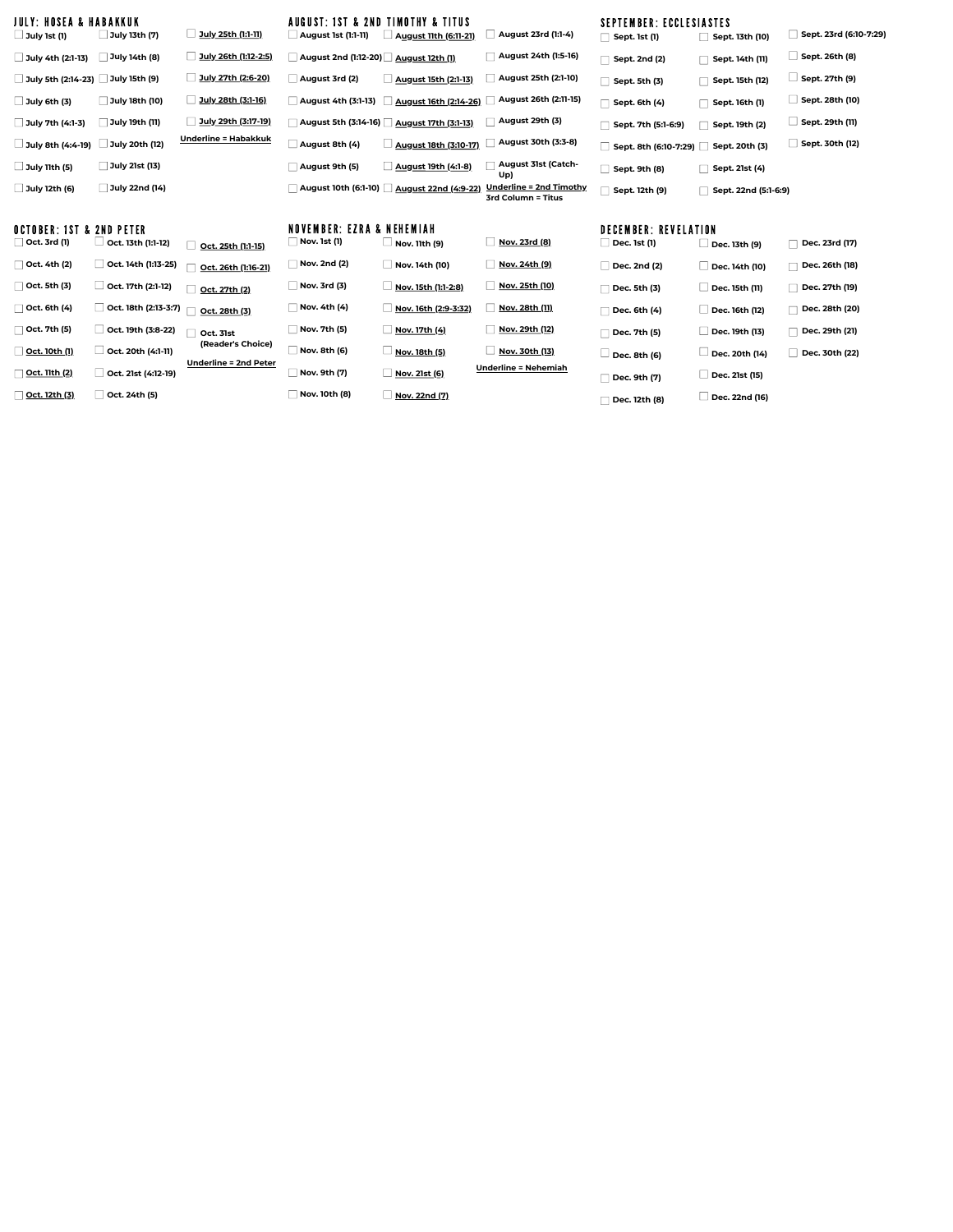| JULY: HOSEA & HABAKKUK<br>$\Box$ July 1st (1)   | July 13th (7)        | July 25th (1:1-11)                         | $\Box$ August 1st (1:1-11)                                  | AUGUST: 1ST & 2ND TIMOTHY & TITUS<br><b>August 11th (6:11-21)</b> | August 23rd (1:1-4)                           | <b>SEPTEMBER: ECCLESIASTES</b><br>Sept. 1st (1) | Sept. 13th (10)      | Sept. 23rd (6:10-7:29) |
|-------------------------------------------------|----------------------|--------------------------------------------|-------------------------------------------------------------|-------------------------------------------------------------------|-----------------------------------------------|-------------------------------------------------|----------------------|------------------------|
| $\Box$ July 4th (2:1-13)                        | July 14th (8)        | July 26th (1:12-2:5)                       | August 2nd (1:12-20) August 12th (1)                        |                                                                   | August 24th (1:5-16)                          | Sept. 2nd (2)                                   | Sept. 14th (11)      | Sept. 26th (8)         |
| July 5th (2:14-23) July 15th (9)                |                      | July 27th (2:6-20)                         | August 3rd (2)                                              | August 15th (2:1-13)                                              | August 25th (2:1-10)                          | Sept. 5th (3)                                   | Sept. 15th (12)      | Sept. 27th (9)         |
| $\Box$ July 6th (3)                             | July 18th (10)       | July 28th (3:1-16)                         | August 4th (3:1-13)                                         | August 16th (2:14-26)                                             | August 26th (2:11-15)                         | Sept. 6th (4)                                   | Sept. 16th (1)       | Sept. 28th (10)        |
| July 7th (4:1-3)                                | July 19th (11)       | July 29th (3:17-19)                        |                                                             | August 5th (3:14-16) 4ugust 17th (3:1-13)                         | August 29th (3)                               | Sept. 7th (5:1-6:9)                             | Sept. 19th (2)       | Sept. 29th (11)        |
| $\Box$ July 8th (4:4-19)                        | July 20th (12)       | <u> Underline = Habakkuk</u>               | August 8th (4)                                              | August 18th (3:10-17)                                             | August 30th (3:3-8)                           | Sept. 8th (6:10-7:29)                           | Sept. 20th (3)       | Sept. 30th (12)        |
| $\Box$ July 11th (5)                            | July 21st (13)       |                                            | August 9th (5)                                              | August 19th (4:1-8)                                               | <b>August 31st (Catch-</b><br>Up)             | Sept. 9th (8)                                   | Sept. 21st (4)       |                        |
| July 12th (6)                                   | July 22nd (14)       |                                            |                                                             | August 10th (6:1-10) 4ugust 22nd (4:9-22)                         | Underline = 2nd Timothy<br>3rd Column = Titus | Sept. 12th (9)                                  | Sept. 22nd (5:1-6:9) |                        |
| OCTOBER: IST & 2ND PETER<br>$\Box$ Oct. 3rd (1) | Oct. 13th (1:1-12)   |                                            | <b>NOVEMBER: EZRA &amp; NEHEMIAH</b><br><b>Nov. 1st (1)</b> | Nov. 11th (9)                                                     | Nov. 23rd (8)                                 | <b>DECEMBER: REVELATION</b><br>Dec. 1st (1)     |                      | Dec. 23rd (17)         |
|                                                 |                      | Oct. 25th (1:1-15)                         |                                                             |                                                                   |                                               |                                                 | Dec. 13th (9)        |                        |
| Oct. 4th (2)                                    | Oct. 14th (1:13-25)  | Oct. 26th (1:16-21)                        | $\sqrt{ }$ Nov. 2nd (2)                                     | Nov. 14th (10)                                                    | Nov. 24th (9)                                 | Dec. 2nd (2)                                    | Dec. 14th (10)       | □ Dec. 26th (18)       |
| $\Box$ Oct. 5th (3)                             | Oct. 17th (2:1-12)   | Oct. 27th (2)                              | Nov. 3rd (3)                                                | Nov. 15th (1:1-2:8)                                               | Nov. 25th (10)                                | Dec. 5th (3)                                    | □ Dec. 15th (11)     | Dec. 27th (19)         |
| $\Box$ Oct. 6th (4)                             | Oct. 18th (2:13-3:7) | Oct. 28th (3)                              | Nov. 4th (4)                                                | Nov. 16th (2:9-3:32)                                              | Nov. 28th (11)                                | Dec. 6th (4)                                    | Dec. 16th (12)       | Dec. 28th (20)         |
| $\Box$ Oct. 7th (5)                             |                      |                                            | Nov. 7th (5)                                                | Nov. 17th (4)                                                     | Nov. 29th (12)                                |                                                 |                      |                        |
|                                                 | Oct. 19th (3:8-22)   | Oct. 31st                                  |                                                             |                                                                   |                                               | Dec. 7th (5)                                    | Dec. 19th (13)       | Dec. 29th (21)         |
| Oct. 10th (1)                                   | Oct. 20th (4:1-11)   | (Reader's Choice)<br>Underline = 2nd Peter | Nov. 8th (6)                                                | $\Box$ Nov. 18th (5)                                              | Nov. 30th (13)                                | Dec. 8th (6)                                    | └ Dec. 20th (14)     | Dec. 30th (22)         |

**Oct. 12th (3) Oct. 24th (5)**

**Nov. 9th (7) Nov. 10th (8)**

**Nov. 21st (6) Nov. 22nd (7)**

**Dec. 9th (7) Underline = Nehemiah**

**Dec. 12th (8)**

**Dec. 21st (15) Dec. 22nd (16)**